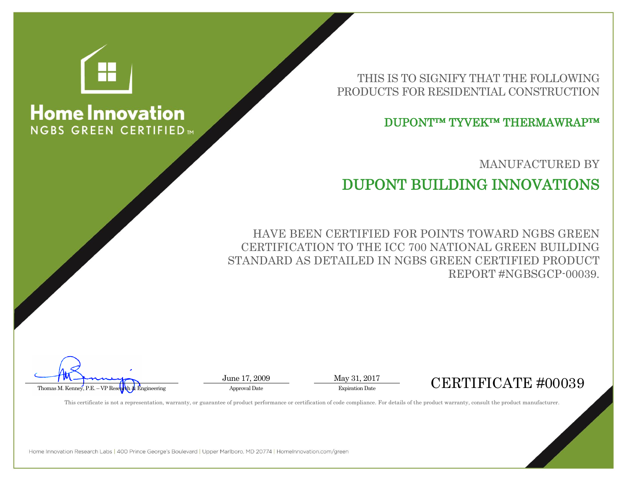

## **Home Innovation NGBS GREEN CERTIFIED**

THIS IS TO SIGNIFY THAT THE FOLLOWING PRODUCTS FOR RESIDENTIAL CONSTRUCTION

DUPONT™ TYVEK™ THERMAWRAP™

MANUFACTURED BY

## DUPONT BUILDING INNOVATIONS

HAVE BEEN CERTIFIED FOR POINTS TOWARD NGBS GREEN CERTIFICATION TO THE ICC 700 NATIONAL GREEN BUILDING STANDARD AS DETAILED IN NGBS GREEN CERTIFIED PRODUCT REPORT #NGBSGCP-00039.

June 17, 2009 May 31, 2017



This certificate is not a representation, warranty, or guarantee of product performance or certification of code compliance. For details of the product warranty, consult the product manufacturer.

Home Innovation Research Labs | 400 Prince George's Boulevard | Upper Marlboro, MD 20774 | HomeInnovation.com/green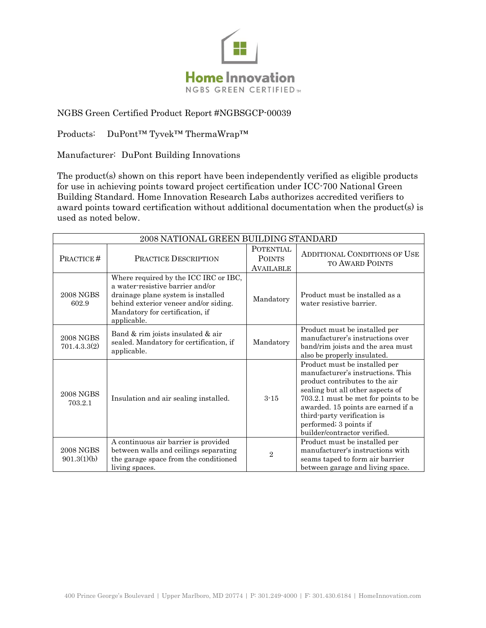

## NGBS Green Certified Product Report #NGBSGCP-00039

Products: DuPont<sup>™</sup> Tyvek™ ThermaWrap™

Manufacturer: DuPont Building Innovations

The product(s) shown on this report have been independently verified as eligible products for use in achieving points toward project certification under ICC-700 National Green Building Standard. Home Innovation Research Labs authorizes accredited verifiers to award points toward certification without additional documentation when the product(s) is used as noted below.

| 2008 NATIONAL GREEN BUILDING STANDARD |                                                                                                                                                                                                            |                                                       |                                                                                                                                                                                                                                                                                                                 |  |
|---------------------------------------|------------------------------------------------------------------------------------------------------------------------------------------------------------------------------------------------------------|-------------------------------------------------------|-----------------------------------------------------------------------------------------------------------------------------------------------------------------------------------------------------------------------------------------------------------------------------------------------------------------|--|
| PRACTICE#                             | PRACTICE DESCRIPTION                                                                                                                                                                                       | <b>POTENTIAL</b><br><b>POINTS</b><br><b>AVAILABLE</b> | <b>ADDITIONAL CONDITIONS OF USE</b><br><b>TO AWARD POINTS</b>                                                                                                                                                                                                                                                   |  |
| <b>2008 NGBS</b><br>602.9             | Where required by the ICC IRC or IBC,<br>a water-resistive barrier and/or<br>drainage plane system is installed<br>behind exterior veneer and/or siding.<br>Mandatory for certification, if<br>applicable. | Mandatory                                             | Product must be installed as a<br>water resistive barrier.                                                                                                                                                                                                                                                      |  |
| <b>2008 NGBS</b><br>701.4.3.3(2)      | Band & rim joists insulated & air<br>sealed. Mandatory for certification, if<br>applicable.                                                                                                                | Mandatory                                             | Product must be installed per<br>manufacturer's instructions over<br>band/rim joists and the area must<br>also be properly insulated.                                                                                                                                                                           |  |
| <b>2008 NGBS</b><br>703.2.1           | Insulation and air sealing installed.                                                                                                                                                                      | $3 - 15$                                              | Product must be installed per<br>manufacturer's instructions. This<br>product contributes to the air<br>sealing but all other aspects of<br>703.2.1 must be met for points to be<br>awarded. 15 points are earned if a<br>third-party verification is<br>performed; 3 points if<br>builder/contractor verified. |  |
| <b>2008 NGBS</b><br>901.3(1)(b)       | A continuous air barrier is provided<br>between walls and ceilings separating<br>the garage space from the conditioned<br>living spaces.                                                                   | $\overline{2}$                                        | Product must be installed per<br>manufacturer's instructions with<br>seams taped to form air barrier<br>between garage and living space.                                                                                                                                                                        |  |